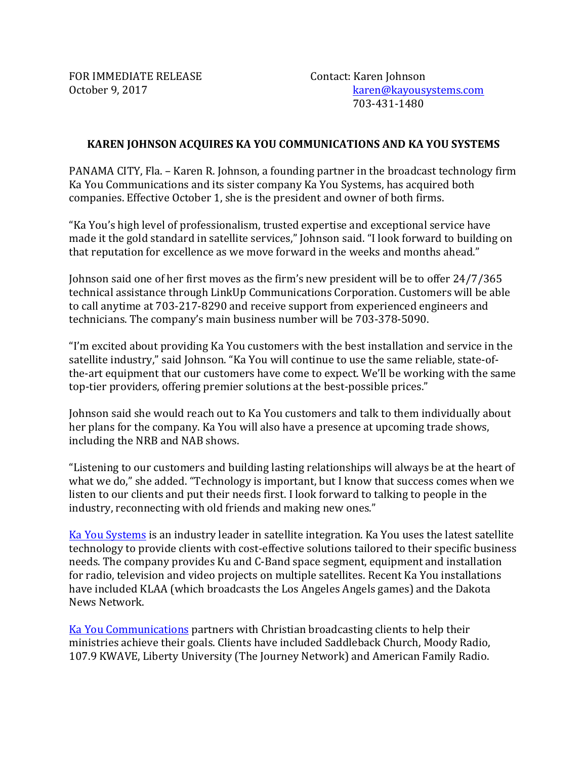FOR IMMEDIATE RELEASE Contact: Karen Johnson

October 9, 2017 **butter and the Contract Contract Contract Contract Contract Contract Contract Contract Contract Contract Contract Contract Contract Contract Contract Contract Contract Contract Contract Contract Contract C**  703-431-1480

## **KAREN JOHNSON ACQUIRES KA YOU COMMUNICATIONS AND KA YOU SYSTEMS**

PANAMA CITY, Fla. – Karen R. Johnson, a founding partner in the broadcast technology firm Ka You Communications and its sister company Ka You Systems, has acquired both companies. Effective October 1, she is the president and owner of both firms.

"Ka You's high level of professionalism, trusted expertise and exceptional service have made it the gold standard in satellite services," Johnson said. "I look forward to building on that reputation for excellence as we move forward in the weeks and months ahead."

Johnson said one of her first moves as the firm's new president will be to offer 24/7/365 technical assistance through LinkUp Communications Corporation. Customers will be able to call anytime at 703-217-8290 and receive support from experienced engineers and technicians. The company's main business number will be 703-378-5090.

"I'm excited about providing Ka You customers with the best installation and service in the satellite industry," said Johnson. "Ka You will continue to use the same reliable, state-ofthe-art equipment that our customers have come to expect. We'll be working with the same top-tier providers, offering premier solutions at the best-possible prices."

Johnson said she would reach out to Ka You customers and talk to them individually about her plans for the company. Ka You will also have a presence at upcoming trade shows, including the NRB and NAB shows.

"Listening to our customers and building lasting relationships will always be at the heart of what we do," she added. "Technology is important, but I know that success comes when we listen to our clients and put their needs first. I look forward to talking to people in the industry, reconnecting with old friends and making new ones."

Ka You Systems is an industry leader in satellite integration. Ka You uses the latest satellite technology to provide clients with cost-effective solutions tailored to their specific business needs. The company provides Ku and C-Band space segment, equipment and installation for radio, television and video projects on multiple satellites. Recent Ka You installations have included KLAA (which broadcasts the Los Angeles Angels games) and the Dakota News Network.

Ka You Communications partners with Christian broadcasting clients to help their ministries achieve their goals. Clients have included Saddleback Church, Moody Radio, 107.9 KWAVE, Liberty University (The Journey Network) and American Family Radio.